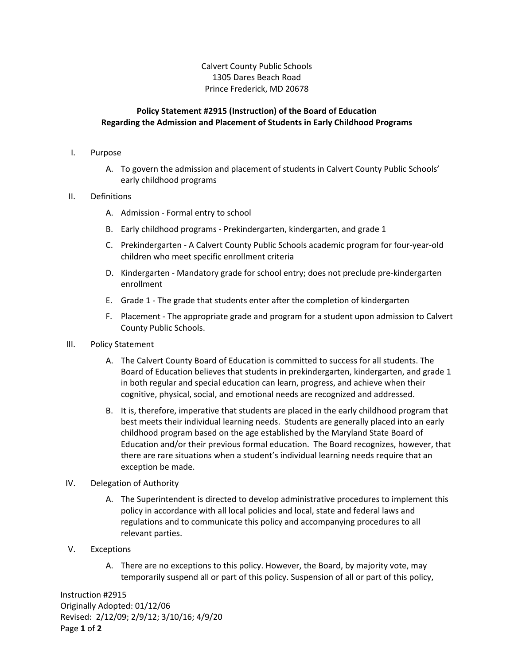Calvert County Public Schools 1305 Dares Beach Road Prince Frederick, MD 20678

# **Policy Statement #2915 (Instruction) of the Board of Education Regarding the Admission and Placement of Students in Early Childhood Programs**

#### I. Purpose

A. To govern the admission and placement of students in Calvert County Public Schools' early childhood programs

## II. Definitions

- A. Admission Formal entry to school
- B. Early childhood programs Prekindergarten, kindergarten, and grade 1
- C. Prekindergarten A Calvert County Public Schools academic program for four-year-old children who meet specific enrollment criteria
- D. Kindergarten Mandatory grade for school entry; does not preclude pre-kindergarten enrollment
- E. Grade 1 The grade that students enter after the completion of kindergarten
- F. Placement The appropriate grade and program for a student upon admission to Calvert County Public Schools.

#### III. Policy Statement

- A. The Calvert County Board of Education is committed to success for all students. The Board of Education believes that students in prekindergarten, kindergarten, and grade 1 in both regular and special education can learn, progress, and achieve when their cognitive, physical, social, and emotional needs are recognized and addressed.
- B. It is, therefore, imperative that students are placed in the early childhood program that best meets their individual learning needs. Students are generally placed into an early childhood program based on the age established by the Maryland State Board of Education and/or their previous formal education. The Board recognizes, however, that there are rare situations when a student's individual learning needs require that an exception be made.

#### IV. Delegation of Authority

A. The Superintendent is directed to develop administrative procedures to implement this policy in accordance with all local policies and local, state and federal laws and regulations and to communicate this policy and accompanying procedures to all relevant parties.

## V. Exceptions

A. There are no exceptions to this policy. However, the Board, by majority vote, may temporarily suspend all or part of this policy. Suspension of all or part of this policy,

Instruction #2915 Originally Adopted: 01/12/06 Revised: 2/12/09; 2/9/12; 3/10/16; 4/9/20 Page **1** of **2**